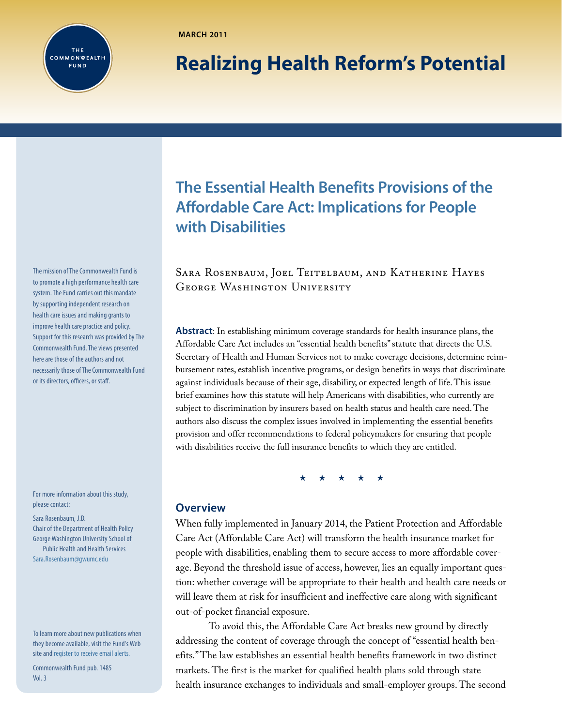

**MARCH 2011**

# **Realizing Health Reform's Potential**

The mission of [The Commonwealth Fund](http://www.commonwealthfund.org) is to promote a high performance health care system. The Fund carries out this mandate by supporting independent research on health care issues and making grants to improve health care practice and policy. Support for this research was provided by The Commonwealth Fund. The views presented here are those of the authors and not necessarily those of The Commonwealth Fund or its directors, officers, or staff.

For more information about this study, please contact:

#### Sara Rosenbaum, J.D.

Chair of the Department of Health Policy George Washington University School of Public Health and Health Services [Sara.Rosenbaum@gwumc.edu](mailto:Sara.Rosenbaum%40gwumc.edu?subject=)

To learn more about new publications when they become available, visit the Fund's Web site and [register to receive email alerts.](http://www.commonwealthfund.org/myprofile/myprofile_edit.htm)

Commonwealth Fund pub. 1485 Vol. 3

## **The Essential Health Benefits Provisions of the Affordable Care Act: Implications for People with Disabilities**

Sara Rosenbaum, Joel Teitelbaum, and Katherine Hayes George Washington University

**Abstract**: In establishing minimum coverage standards for health insurance plans, the Affordable Care Act includes an "essential health benefits" statute that directs the U.S. Secretary of Health and Human Services not to make coverage decisions, determine reimbursement rates, establish incentive programs, or design benefits in ways that discriminate against individuals because of their age, disability, or expected length of life. This issue brief examines how this statute will help Americans with disabilities, who currently are subject to discrimination by insurers based on health status and health care need. The authors also discuss the complex issues involved in implementing the essential benefits provision and offer recommendations to federal policymakers for ensuring that people with disabilities receive the full insurance benefits to which they are entitled.

\* \* \* \* \*

## **Overview**

When fully implemented in January 2014, the Patient Protection and Affordable Care Act (Affordable Care Act) will transform the health insurance market for people with disabilities, enabling them to secure access to more affordable coverage. Beyond the threshold issue of access, however, lies an equally important question: whether coverage will be appropriate to their health and health care needs or will leave them at risk for insufficient and ineffective care along with significant out-of-pocket financial exposure.

To avoid this, the Affordable Care Act breaks new ground by directly addressing the content of coverage through the concept of "essential health benefits." The law establishes an essential health benefits framework in two distinct markets. The first is the market for qualified health plans sold through state health insurance exchanges to individuals and small-employer groups. The second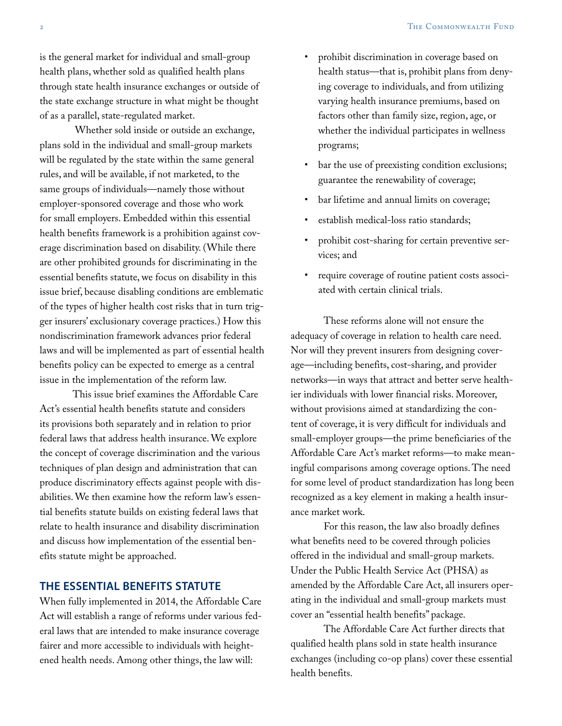is the general market for individual and small-group health plans, whether sold as qualified health plans through state health insurance exchanges or outside of the state exchange structure in what might be thought of as a parallel, state-regulated market.

 Whether sold inside or outside an exchange, plans sold in the individual and small-group markets will be regulated by the state within the same general rules, and will be available, if not marketed, to the same groups of individuals—namely those without employer-sponsored coverage and those who work for small employers. Embedded within this essential health benefits framework is a prohibition against coverage discrimination based on disability. (While there are other prohibited grounds for discriminating in the essential benefits statute, we focus on disability in this issue brief, because disabling conditions are emblematic of the types of higher health cost risks that in turn trigger insurers' exclusionary coverage practices.) How this nondiscrimination framework advances prior federal laws and will be implemented as part of essential health benefits policy can be expected to emerge as a central issue in the implementation of the reform law.

This issue brief examines the Affordable Care Act's essential health benefits statute and considers its provisions both separately and in relation to prior federal laws that address health insurance. We explore the concept of coverage discrimination and the various techniques of plan design and administration that can produce discriminatory effects against people with disabilities. We then examine how the reform law's essential benefits statute builds on existing federal laws that relate to health insurance and disability discrimination and discuss how implementation of the essential benefits statute might be approached.

## **THE ESSENTIAL BENEFITS STATUTE**

When fully implemented in 2014, the Affordable Care Act will establish a range of reforms under various federal laws that are intended to make insurance coverage fairer and more accessible to individuals with heightened health needs. Among other things, the law will:

- prohibit discrimination in coverage based on health status—that is, prohibit plans from denying coverage to individuals, and from utilizing varying health insurance premiums, based on factors other than family size, region, age, or whether the individual participates in wellness programs;
- bar the use of preexisting condition exclusions; guarantee the renewability of coverage;
- bar lifetime and annual limits on coverage;
- establish medical-loss ratio standards;
- prohibit cost-sharing for certain preventive services; and
- • require coverage of routine patient costs associated with certain clinical trials.

These reforms alone will not ensure the adequacy of coverage in relation to health care need. Nor will they prevent insurers from designing coverage—including benefits, cost-sharing, and provider networks—in ways that attract and better serve healthier individuals with lower financial risks. Moreover, without provisions aimed at standardizing the content of coverage, it is very difficult for individuals and small-employer groups—the prime beneficiaries of the Affordable Care Act's market reforms—to make meaningful comparisons among coverage options. The need for some level of product standardization has long been recognized as a key element in making a health insurance market work.

For this reason, the law also broadly defines what benefits need to be covered through policies offered in the individual and small-group markets. Under the Public Health Service Act (PHSA) as amended by the Affordable Care Act, all insurers operating in the individual and small-group markets must cover an "essential health benefits" package.

The Affordable Care Act further directs that qualified health plans sold in state health insurance exchanges (including co-op plans) cover these essential health benefits.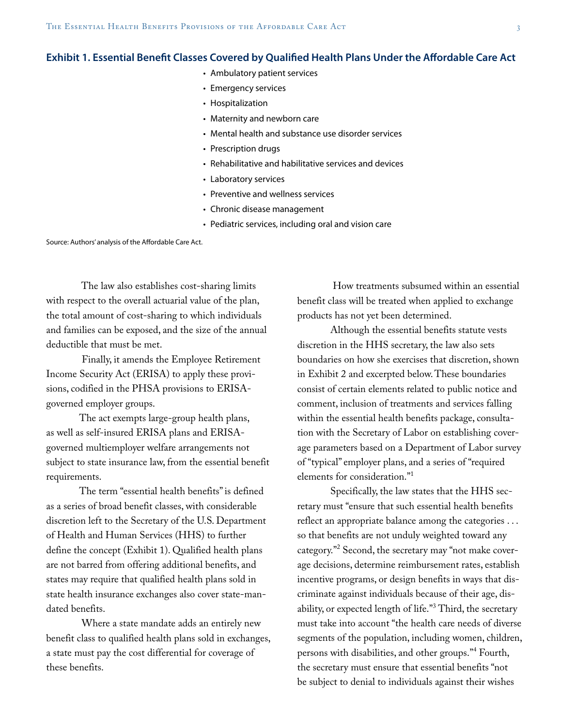#### **Exhibit 1. Essential Benefit Classes Covered by Qualified Health Plans Under the Affordable Care Act**

- Ambulatory patient services
- Emergency services
- Hospitalization
- Maternity and newborn care
- Mental health and substance use disorder services
- Prescription drugs
- Rehabilitative and habilitative services and devices
- • Laboratory services
- Preventive and wellness services
- Chronic disease management
- Pediatric services, including oral and vision care

Source: Authors' analysis of the Affordable Care Act.

 The law also establishes cost-sharing limits with respect to the overall actuarial value of the plan, the total amount of cost-sharing to which individuals and families can be exposed, and the size of the annual deductible that must be met.

 Finally, it amends the Employee Retirement Income Security Act (ERISA) to apply these provisions, codified in the PHSA provisions to ERISAgoverned employer groups.

The act exempts large-group health plans, as well as self-insured ERISA plans and ERISAgoverned multiemployer welfare arrangements not subject to state insurance law, from the essential benefit requirements.

The term "essential health benefits" is defined as a series of broad benefit classes, with considerable discretion left to the Secretary of the U.S. Department of Health and Human Services (HHS) to further define the concept (Exhibit 1). Qualified health plans are not barred from offering additional benefits, and states may require that qualified health plans sold in state health insurance exchanges also cover state-mandated benefits.

 Where a state mandate adds an entirely new benefit class to qualified health plans sold in exchanges, a state must pay the cost differential for coverage of these benefits.

 How treatments subsumed within an essential benefit class will be treated when applied to exchange products has not yet been determined.

Although the essential benefits statute vests discretion in the HHS secretary, the law also sets boundaries on how she exercises that discretion, shown in Exhibit 2 and excerpted below. These boundaries consist of certain elements related to public notice and comment, inclusion of treatments and services falling within the essential health benefits package, consultation with the Secretary of Labor on establishing coverage parameters based on a Department of Labor survey of "typical" employer plans, and a series of "required elements for consideration."<sup>1</sup>

Specifically, the law states that the HHS secretary must "ensure that such essential health benefits reflect an appropriate balance among the categories . . . so that benefits are not unduly weighted toward any category."<sup>2</sup> Second, the secretary may "not make coverage decisions, determine reimbursement rates, establish incentive programs, or design benefits in ways that discriminate against individuals because of their age, disability, or expected length of life."3 Third, the secretary must take into account "the health care needs of diverse segments of the population, including women, children, persons with disabilities, and other groups."4 Fourth, the secretary must ensure that essential benefits "not be subject to denial to individuals against their wishes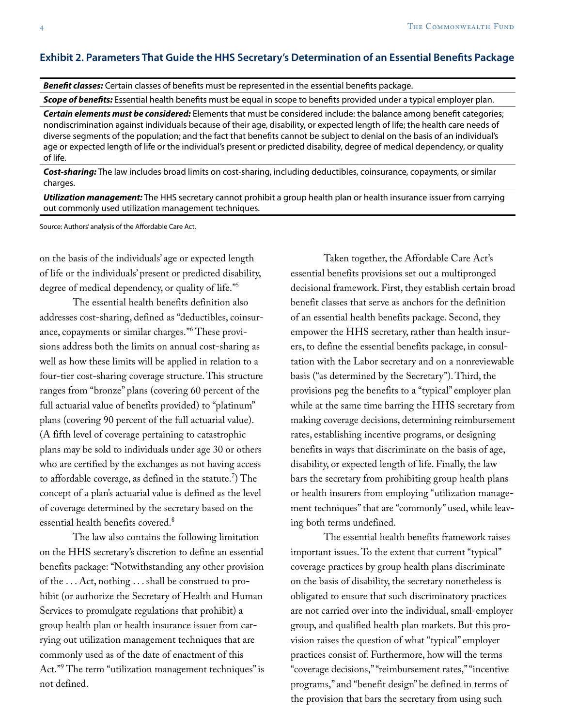### **Exhibit 2. Parameters That Guide the HHS Secretary's Determination of an Essential Benefits Package**

*Benefit classes:* Certain classes of benefits must be represented in the essential benefits package.

*Scope of benefits:* Essential health benefits must be equal in scope to benefits provided under a typical employer plan.

*Certain elements must be considered:* Elements that must be considered include: the balance among benefit categories; nondiscrimination against individuals because of their age, disability, or expected length of life; the health care needs of diverse segments of the population; and the fact that benefits cannot be subject to denial on the basis of an individual's age or expected length of life or the individual's present or predicted disability, degree of medical dependency, or quality of life.

*Cost-sharing:* The law includes broad limits on cost-sharing, including deductibles, coinsurance, copayments, or similar charges.

*Utilization management:* The HHS secretary cannot prohibit a group health plan or health insurance issuer from carrying out commonly used utilization management techniques.

Source: Authors' analysis of the Affordable Care Act.

on the basis of the individuals' age or expected length of life or the individuals' present or predicted disability, degree of medical dependency, or quality of life."<sup>5</sup>

The essential health benefits definition also addresses cost-sharing, defined as "deductibles, coinsurance, copayments or similar charges."<sup>6</sup> These provisions address both the limits on annual cost-sharing as well as how these limits will be applied in relation to a four-tier cost-sharing coverage structure. This structure ranges from "bronze" plans (covering 60 percent of the full actuarial value of benefits provided) to "platinum" plans (covering 90 percent of the full actuarial value). (A fifth level of coverage pertaining to catastrophic plans may be sold to individuals under age 30 or others who are certified by the exchanges as not having access to affordable coverage, as defined in the statute.7 ) The concept of a plan's actuarial value is defined as the level of coverage determined by the secretary based on the essential health benefits covered.<sup>8</sup>

The law also contains the following limitation on the HHS secretary's discretion to define an essential benefits package: "Notwithstanding any other provision of the . . . Act, nothing . . . shall be construed to prohibit (or authorize the Secretary of Health and Human Services to promulgate regulations that prohibit) a group health plan or health insurance issuer from carrying out utilization management techniques that are commonly used as of the date of enactment of this Act."<sup>9</sup> The term "utilization management techniques" is not defined.

Taken together, the Affordable Care Act's essential benefits provisions set out a multipronged decisional framework. First, they establish certain broad benefit classes that serve as anchors for the definition of an essential health benefits package. Second, they empower the HHS secretary, rather than health insurers, to define the essential benefits package, in consultation with the Labor secretary and on a nonreviewable basis ("as determined by the Secretary"). Third, the provisions peg the benefits to a "typical" employer plan while at the same time barring the HHS secretary from making coverage decisions, determining reimbursement rates, establishing incentive programs, or designing benefits in ways that discriminate on the basis of age, disability, or expected length of life. Finally, the law bars the secretary from prohibiting group health plans or health insurers from employing "utilization management techniques" that are "commonly" used, while leaving both terms undefined.

The essential health benefits framework raises important issues. To the extent that current "typical" coverage practices by group health plans discriminate on the basis of disability, the secretary nonetheless is obligated to ensure that such discriminatory practices are not carried over into the individual, small-employer group, and qualified health plan markets. But this provision raises the question of what "typical" employer practices consist of. Furthermore, how will the terms "coverage decisions," "reimbursement rates," "incentive programs," and "benefit design" be defined in terms of the provision that bars the secretary from using such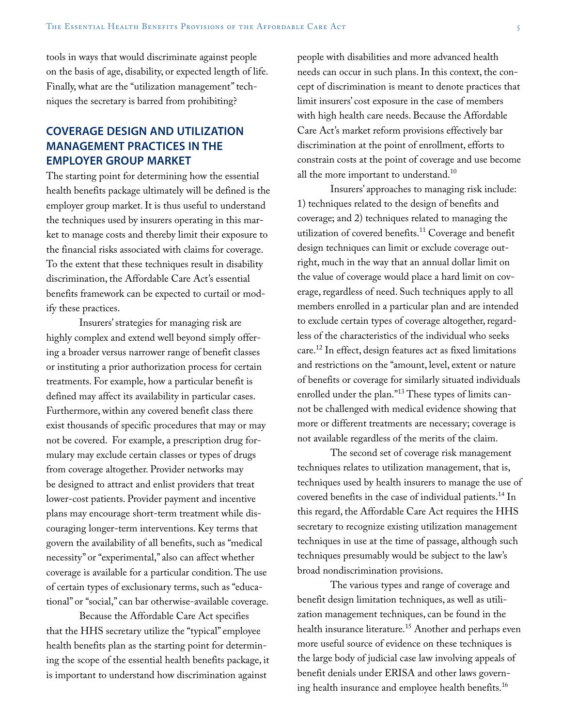tools in ways that would discriminate against people on the basis of age, disability, or expected length of life. Finally, what are the "utilization management" techniques the secretary is barred from prohibiting?

## **COVERAGE DESIGN AND UTILIZATION MANAGEMENT PRACTICES IN THE EMPLOYER GROUP MARKET**

The starting point for determining how the essential health benefits package ultimately will be defined is the employer group market. It is thus useful to understand the techniques used by insurers operating in this market to manage costs and thereby limit their exposure to the financial risks associated with claims for coverage. To the extent that these techniques result in disability discrimination, the Affordable Care Act's essential benefits framework can be expected to curtail or modify these practices.

Insurers' strategies for managing risk are highly complex and extend well beyond simply offering a broader versus narrower range of benefit classes or instituting a prior authorization process for certain treatments. For example, how a particular benefit is defined may affect its availability in particular cases. Furthermore, within any covered benefit class there exist thousands of specific procedures that may or may not be covered. For example, a prescription drug formulary may exclude certain classes or types of drugs from coverage altogether. Provider networks may be designed to attract and enlist providers that treat lower-cost patients. Provider payment and incentive plans may encourage short-term treatment while discouraging longer-term interventions. Key terms that govern the availability of all benefits, such as "medical necessity" or "experimental," also can affect whether coverage is available for a particular condition. The use of certain types of exclusionary terms, such as "educational" or "social," can bar otherwise-available coverage.

Because the Affordable Care Act specifies that the HHS secretary utilize the "typical" employee health benefits plan as the starting point for determining the scope of the essential health benefits package, it is important to understand how discrimination against

people with disabilities and more advanced health needs can occur in such plans. In this context, the concept of discrimination is meant to denote practices that limit insurers' cost exposure in the case of members with high health care needs. Because the Affordable Care Act's market reform provisions effectively bar discrimination at the point of enrollment, efforts to constrain costs at the point of coverage and use become all the more important to understand.<sup>10</sup>

Insurers' approaches to managing risk include: 1) techniques related to the design of benefits and coverage; and 2) techniques related to managing the utilization of covered benefits.<sup>11</sup> Coverage and benefit design techniques can limit or exclude coverage outright, much in the way that an annual dollar limit on the value of coverage would place a hard limit on coverage, regardless of need. Such techniques apply to all members enrolled in a particular plan and are intended to exclude certain types of coverage altogether, regardless of the characteristics of the individual who seeks care.12 In effect, design features act as fixed limitations and restrictions on the "amount, level, extent or nature of benefits or coverage for similarly situated individuals enrolled under the plan."<sup>13</sup> These types of limits cannot be challenged with medical evidence showing that more or different treatments are necessary; coverage is not available regardless of the merits of the claim.

The second set of coverage risk management techniques relates to utilization management, that is, techniques used by health insurers to manage the use of covered benefits in the case of individual patients.<sup>14</sup> In this regard, the Affordable Care Act requires the HHS secretary to recognize existing utilization management techniques in use at the time of passage, although such techniques presumably would be subject to the law's broad nondiscrimination provisions.

The various types and range of coverage and benefit design limitation techniques, as well as utilization management techniques, can be found in the health insurance literature.<sup>15</sup> Another and perhaps even more useful source of evidence on these techniques is the large body of judicial case law involving appeals of benefit denials under ERISA and other laws governing health insurance and employee health benefits.<sup>16</sup>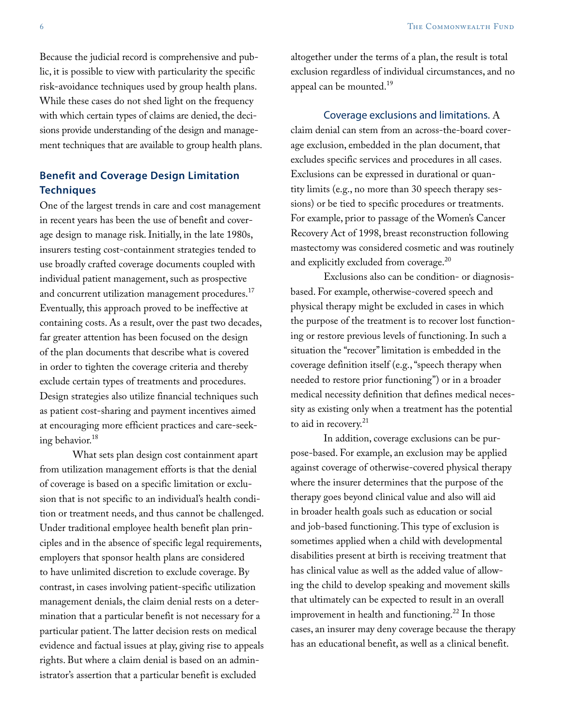Because the judicial record is comprehensive and public, it is possible to view with particularity the specific risk-avoidance techniques used by group health plans. While these cases do not shed light on the frequency with which certain types of claims are denied, the decisions provide understanding of the design and management techniques that are available to group health plans.

## **Benefit and Coverage Design Limitation Techniques**

One of the largest trends in care and cost management in recent years has been the use of benefit and coverage design to manage risk. Initially, in the late 1980s, insurers testing cost-containment strategies tended to use broadly crafted coverage documents coupled with individual patient management, such as prospective and concurrent utilization management procedures.<sup>17</sup> Eventually, this approach proved to be ineffective at containing costs. As a result, over the past two decades, far greater attention has been focused on the design of the plan documents that describe what is covered in order to tighten the coverage criteria and thereby exclude certain types of treatments and procedures. Design strategies also utilize financial techniques such as patient cost-sharing and payment incentives aimed at encouraging more efficient practices and care-seeking behavior.<sup>18</sup>

What sets plan design cost containment apart from utilization management efforts is that the denial of coverage is based on a specific limitation or exclusion that is not specific to an individual's health condition or treatment needs, and thus cannot be challenged. Under traditional employee health benefit plan principles and in the absence of specific legal requirements, employers that sponsor health plans are considered to have unlimited discretion to exclude coverage. By contrast, in cases involving patient-specific utilization management denials, the claim denial rests on a determination that a particular benefit is not necessary for a particular patient. The latter decision rests on medical evidence and factual issues at play, giving rise to appeals rights. But where a claim denial is based on an administrator's assertion that a particular benefit is excluded

altogether under the terms of a plan, the result is total exclusion regardless of individual circumstances, and no appeal can be mounted.<sup>19</sup>

## Coverage exclusions and limitations. A claim denial can stem from an across-the-board coverage exclusion, embedded in the plan document, that excludes specific services and procedures in all cases. Exclusions can be expressed in durational or quantity limits (e.g., no more than 30 speech therapy sessions) or be tied to specific procedures or treatments. For example, prior to passage of the Women's Cancer Recovery Act of 1998, breast reconstruction following mastectomy was considered cosmetic and was routinely and explicitly excluded from coverage.<sup>20</sup>

Exclusions also can be condition- or diagnosisbased. For example, otherwise-covered speech and physical therapy might be excluded in cases in which the purpose of the treatment is to recover lost functioning or restore previous levels of functioning. In such a situation the "recover" limitation is embedded in the coverage definition itself (e.g., "speech therapy when needed to restore prior functioning") or in a broader medical necessity definition that defines medical necessity as existing only when a treatment has the potential to aid in recovery.<sup>21</sup>

In addition, coverage exclusions can be purpose-based. For example, an exclusion may be applied against coverage of otherwise-covered physical therapy where the insurer determines that the purpose of the therapy goes beyond clinical value and also will aid in broader health goals such as education or social and job-based functioning. This type of exclusion is sometimes applied when a child with developmental disabilities present at birth is receiving treatment that has clinical value as well as the added value of allowing the child to develop speaking and movement skills that ultimately can be expected to result in an overall improvement in health and functioning.<sup>22</sup> In those cases, an insurer may deny coverage because the therapy has an educational benefit, as well as a clinical benefit.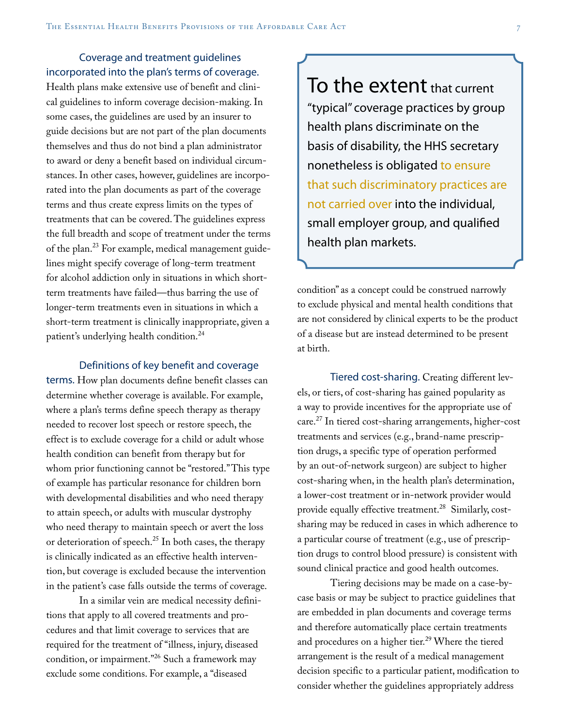Coverage and treatment guidelines incorporated into the plan's terms of coverage.

Health plans make extensive use of benefit and clinical guidelines to inform coverage decision-making. In some cases, the guidelines are used by an insurer to guide decisions but are not part of the plan documents themselves and thus do not bind a plan administrator to award or deny a benefit based on individual circumstances. In other cases, however, guidelines are incorporated into the plan documents as part of the coverage terms and thus create express limits on the types of treatments that can be covered. The guidelines express the full breadth and scope of treatment under the terms of the plan.<sup>23</sup> For example, medical management guidelines might specify coverage of long-term treatment for alcohol addiction only in situations in which shortterm treatments have failed—thus barring the use of longer-term treatments even in situations in which a short-term treatment is clinically inappropriate, given a patient's underlying health condition.<sup>24</sup>

Definitions of key benefit and coverage

terms. How plan documents define benefit classes can determine whether coverage is available. For example, where a plan's terms define speech therapy as therapy needed to recover lost speech or restore speech, the effect is to exclude coverage for a child or adult whose health condition can benefit from therapy but for whom prior functioning cannot be "restored." This type of example has particular resonance for children born with developmental disabilities and who need therapy to attain speech, or adults with muscular dystrophy who need therapy to maintain speech or avert the loss or deterioration of speech.<sup>25</sup> In both cases, the therapy is clinically indicated as an effective health intervention, but coverage is excluded because the intervention in the patient's case falls outside the terms of coverage.

In a similar vein are medical necessity definitions that apply to all covered treatments and procedures and that limit coverage to services that are required for the treatment of "illness, injury, diseased condition, or impairment."26 Such a framework may exclude some conditions. For example, a "diseased

To the extent that current "typical" coverage practices by group health plans discriminate on the basis of disability, the HHS secretary nonetheless is obligated to ensure that such discriminatory practices are not carried over into the individual, small employer group, and qualified health plan markets.

condition" as a concept could be construed narrowly to exclude physical and mental health conditions that are not considered by clinical experts to be the product of a disease but are instead determined to be present at birth.

Tiered cost-sharing. Creating different levels, or tiers, of cost-sharing has gained popularity as a way to provide incentives for the appropriate use of care.<sup>27</sup> In tiered cost-sharing arrangements, higher-cost treatments and services (e.g., brand-name prescription drugs, a specific type of operation performed by an out-of-network surgeon) are subject to higher cost-sharing when, in the health plan's determination, a lower-cost treatment or in-network provider would provide equally effective treatment.<sup>28</sup> Similarly, costsharing may be reduced in cases in which adherence to a particular course of treatment (e.g., use of prescription drugs to control blood pressure) is consistent with sound clinical practice and good health outcomes.

Tiering decisions may be made on a case-bycase basis or may be subject to practice guidelines that are embedded in plan documents and coverage terms and therefore automatically place certain treatments and procedures on a higher tier.<sup>29</sup> Where the tiered arrangement is the result of a medical management decision specific to a particular patient, modification to consider whether the guidelines appropriately address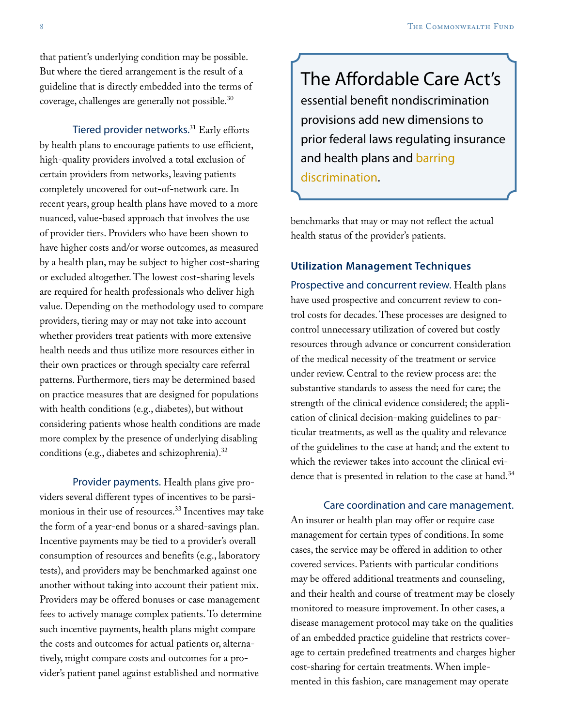that patient's underlying condition may be possible. But where the tiered arrangement is the result of a guideline that is directly embedded into the terms of coverage, challenges are generally not possible.<sup>30</sup>

Tiered provider networks.<sup>31</sup> Early efforts by health plans to encourage patients to use efficient, high-quality providers involved a total exclusion of certain providers from networks, leaving patients completely uncovered for out-of-network care. In recent years, group health plans have moved to a more nuanced, value-based approach that involves the use of provider tiers. Providers who have been shown to have higher costs and/or worse outcomes, as measured by a health plan, may be subject to higher cost-sharing or excluded altogether. The lowest cost-sharing levels are required for health professionals who deliver high value. Depending on the methodology used to compare providers, tiering may or may not take into account whether providers treat patients with more extensive health needs and thus utilize more resources either in their own practices or through specialty care referral patterns. Furthermore, tiers may be determined based on practice measures that are designed for populations with health conditions (e.g., diabetes), but without considering patients whose health conditions are made more complex by the presence of underlying disabling conditions (e.g., diabetes and schizophrenia).<sup>32</sup>

Provider payments. Health plans give providers several different types of incentives to be parsimonious in their use of resources.<sup>33</sup> Incentives may take the form of a year-end bonus or a shared-savings plan. Incentive payments may be tied to a provider's overall consumption of resources and benefits (e.g., laboratory tests), and providers may be benchmarked against one another without taking into account their patient mix. Providers may be offered bonuses or case management fees to actively manage complex patients. To determine such incentive payments, health plans might compare the costs and outcomes for actual patients or, alternatively, might compare costs and outcomes for a provider's patient panel against established and normative

The Affordable Care Act's essential benefit nondiscrimination provisions add new dimensions to prior federal laws regulating insurance and health plans and barring discrimination.

benchmarks that may or may not reflect the actual health status of the provider's patients.

## **Utilization Management Techniques**

Prospective and concurrent review. Health plans have used prospective and concurrent review to control costs for decades. These processes are designed to control unnecessary utilization of covered but costly resources through advance or concurrent consideration of the medical necessity of the treatment or service under review. Central to the review process are: the substantive standards to assess the need for care; the strength of the clinical evidence considered; the application of clinical decision-making guidelines to particular treatments, as well as the quality and relevance of the guidelines to the case at hand; and the extent to which the reviewer takes into account the clinical evidence that is presented in relation to the case at hand.<sup>34</sup>

#### Care coordination and care management.

An insurer or health plan may offer or require case management for certain types of conditions. In some cases, the service may be offered in addition to other covered services. Patients with particular conditions may be offered additional treatments and counseling, and their health and course of treatment may be closely monitored to measure improvement. In other cases, a disease management protocol may take on the qualities of an embedded practice guideline that restricts coverage to certain predefined treatments and charges higher cost-sharing for certain treatments. When implemented in this fashion, care management may operate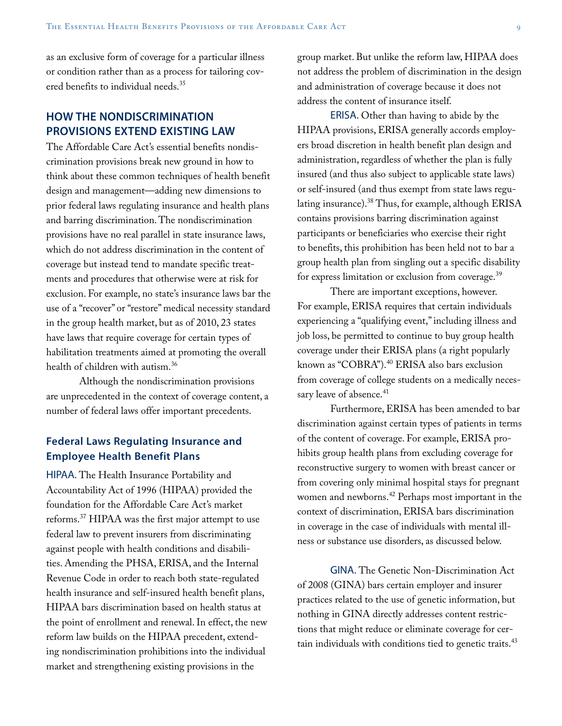as an exclusive form of coverage for a particular illness or condition rather than as a process for tailoring covered benefits to individual needs.35

## **HOW THE NONDISCRIMINATION PROVISIONS EXTEND EXISTING LAW**

The Affordable Care Act's essential benefits nondiscrimination provisions break new ground in how to think about these common techniques of health benefit design and management—adding new dimensions to prior federal laws regulating insurance and health plans and barring discrimination. The nondiscrimination provisions have no real parallel in state insurance laws, which do not address discrimination in the content of coverage but instead tend to mandate specific treatments and procedures that otherwise were at risk for exclusion. For example, no state's insurance laws bar the use of a "recover" or "restore" medical necessity standard in the group health market, but as of 2010, 23 states have laws that require coverage for certain types of habilitation treatments aimed at promoting the overall health of children with autism.36

Although the nondiscrimination provisions are unprecedented in the context of coverage content, a number of federal laws offer important precedents.

## **Federal Laws Regulating Insurance and Employee Health Benefit Plans**

HIPAA. The Health Insurance Portability and Accountability Act of 1996 (HIPAA) provided the foundation for the Affordable Care Act's market reforms.37 HIPAA was the first major attempt to use federal law to prevent insurers from discriminating against people with health conditions and disabilities. Amending the PHSA, ERISA, and the Internal Revenue Code in order to reach both state-regulated health insurance and self-insured health benefit plans, HIPAA bars discrimination based on health status at the point of enrollment and renewal. In effect, the new reform law builds on the HIPAA precedent, extending nondiscrimination prohibitions into the individual market and strengthening existing provisions in the

group market. But unlike the reform law, HIPAA does not address the problem of discrimination in the design and administration of coverage because it does not address the content of insurance itself.

ERISA. Other than having to abide by the HIPAA provisions, ERISA generally accords employers broad discretion in health benefit plan design and administration, regardless of whether the plan is fully insured (and thus also subject to applicable state laws) or self-insured (and thus exempt from state laws regulating insurance).38 Thus, for example, although ERISA contains provisions barring discrimination against participants or beneficiaries who exercise their right to benefits, this prohibition has been held not to bar a group health plan from singling out a specific disability for express limitation or exclusion from coverage.<sup>39</sup>

There are important exceptions, however. For example, ERISA requires that certain individuals experiencing a "qualifying event," including illness and job loss, be permitted to continue to buy group health coverage under their ERISA plans (a right popularly known as "COBRA").<sup>40</sup> ERISA also bars exclusion from coverage of college students on a medically necessary leave of absence.<sup>41</sup>

Furthermore, ERISA has been amended to bar discrimination against certain types of patients in terms of the content of coverage. For example, ERISA prohibits group health plans from excluding coverage for reconstructive surgery to women with breast cancer or from covering only minimal hospital stays for pregnant women and newborns.<sup>42</sup> Perhaps most important in the context of discrimination, ERISA bars discrimination in coverage in the case of individuals with mental illness or substance use disorders, as discussed below.

GINA. The Genetic Non-Discrimination Act of 2008 (GINA) bars certain employer and insurer practices related to the use of genetic information, but nothing in GINA directly addresses content restrictions that might reduce or eliminate coverage for certain individuals with conditions tied to genetic traits. $43$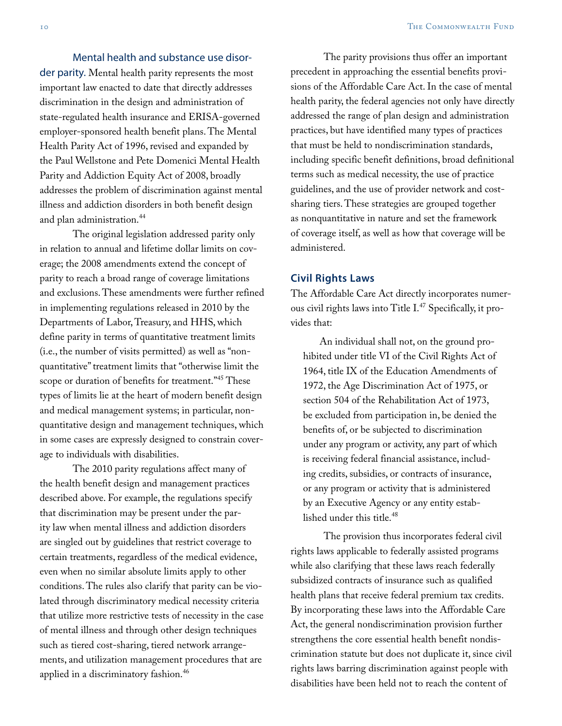#### Mental health and substance use disor-

der parity. Mental health parity represents the most important law enacted to date that directly addresses discrimination in the design and administration of state-regulated health insurance and ERISA-governed employer-sponsored health benefit plans. The Mental Health Parity Act of 1996, revised and expanded by the Paul Wellstone and Pete Domenici Mental Health Parity and Addiction Equity Act of 2008, broadly addresses the problem of discrimination against mental illness and addiction disorders in both benefit design and plan administration.<sup>44</sup>

The original legislation addressed parity only in relation to annual and lifetime dollar limits on coverage; the 2008 amendments extend the concept of parity to reach a broad range of coverage limitations and exclusions. These amendments were further refined in implementing regulations released in 2010 by the Departments of Labor, Treasury, and HHS, which define parity in terms of quantitative treatment limits (i.e., the number of visits permitted) as well as "nonquantitative" treatment limits that "otherwise limit the scope or duration of benefits for treatment."<sup>45</sup> These types of limits lie at the heart of modern benefit design and medical management systems; in particular, nonquantitative design and management techniques, which in some cases are expressly designed to constrain coverage to individuals with disabilities.

The 2010 parity regulations affect many of the health benefit design and management practices described above. For example, the regulations specify that discrimination may be present under the parity law when mental illness and addiction disorders are singled out by guidelines that restrict coverage to certain treatments, regardless of the medical evidence, even when no similar absolute limits apply to other conditions. The rules also clarify that parity can be violated through discriminatory medical necessity criteria that utilize more restrictive tests of necessity in the case of mental illness and through other design techniques such as tiered cost-sharing, tiered network arrangements, and utilization management procedures that are applied in a discriminatory fashion.<sup>46</sup>

The parity provisions thus offer an important precedent in approaching the essential benefits provisions of the Affordable Care Act. In the case of mental health parity, the federal agencies not only have directly addressed the range of plan design and administration practices, but have identified many types of practices that must be held to nondiscrimination standards, including specific benefit definitions, broad definitional terms such as medical necessity, the use of practice guidelines, and the use of provider network and costsharing tiers. These strategies are grouped together as nonquantitative in nature and set the framework of coverage itself, as well as how that coverage will be administered.

#### **Civil Rights Laws**

The Affordable Care Act directly incorporates numerous civil rights laws into Title I.<sup>47</sup> Specifically, it provides that:

An individual shall not, on the ground prohibited under title VI of the Civil Rights Act of 1964, title IX of the Education Amendments of 1972, the Age Discrimination Act of 1975, or section 504 of the Rehabilitation Act of 1973, be excluded from participation in, be denied the benefits of, or be subjected to discrimination under any program or activity, any part of which is receiving federal financial assistance, including credits, subsidies, or contracts of insurance, or any program or activity that is administered by an Executive Agency or any entity established under this title.<sup>48</sup>

The provision thus incorporates federal civil rights laws applicable to federally assisted programs while also clarifying that these laws reach federally subsidized contracts of insurance such as qualified health plans that receive federal premium tax credits. By incorporating these laws into the Affordable Care Act, the general nondiscrimination provision further strengthens the core essential health benefit nondiscrimination statute but does not duplicate it, since civil rights laws barring discrimination against people with disabilities have been held not to reach the content of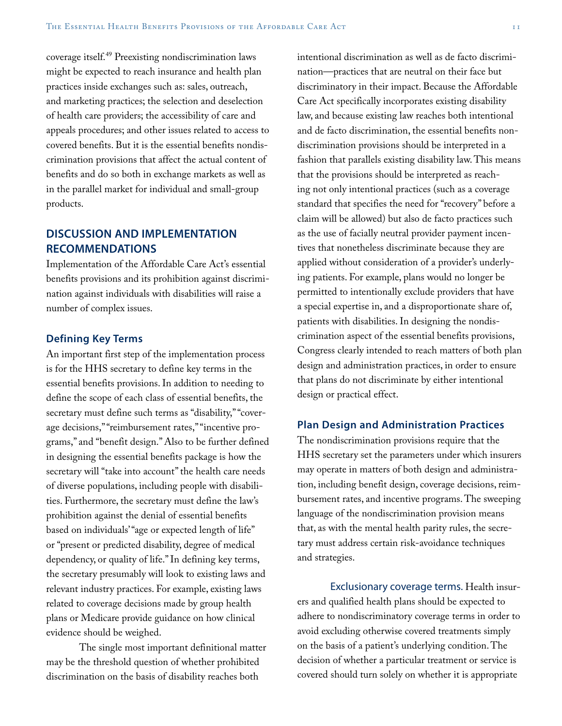coverage itself.49 Preexisting nondiscrimination laws might be expected to reach insurance and health plan practices inside exchanges such as: sales, outreach, and marketing practices; the selection and deselection of health care providers; the accessibility of care and appeals procedures; and other issues related to access to covered benefits. But it is the essential benefits nondiscrimination provisions that affect the actual content of benefits and do so both in exchange markets as well as in the parallel market for individual and small-group products.

## **DISCUSSION AND IMPLEMENTATION RECOMMENDATIONS**

Implementation of the Affordable Care Act's essential benefits provisions and its prohibition against discrimination against individuals with disabilities will raise a number of complex issues.

#### **Defining Key Terms**

An important first step of the implementation process is for the HHS secretary to define key terms in the essential benefits provisions. In addition to needing to define the scope of each class of essential benefits, the secretary must define such terms as "disability," "coverage decisions," "reimbursement rates," "incentive programs," and "benefit design." Also to be further defined in designing the essential benefits package is how the secretary will "take into account" the health care needs of diverse populations, including people with disabilities. Furthermore, the secretary must define the law's prohibition against the denial of essential benefits based on individuals' "age or expected length of life" or "present or predicted disability, degree of medical dependency, or quality of life." In defining key terms, the secretary presumably will look to existing laws and relevant industry practices. For example, existing laws related to coverage decisions made by group health plans or Medicare provide guidance on how clinical evidence should be weighed.

The single most important definitional matter may be the threshold question of whether prohibited discrimination on the basis of disability reaches both

intentional discrimination as well as de facto discrimination—practices that are neutral on their face but discriminatory in their impact. Because the Affordable Care Act specifically incorporates existing disability law, and because existing law reaches both intentional and de facto discrimination, the essential benefits nondiscrimination provisions should be interpreted in a fashion that parallels existing disability law. This means that the provisions should be interpreted as reaching not only intentional practices (such as a coverage standard that specifies the need for "recovery" before a claim will be allowed) but also de facto practices such as the use of facially neutral provider payment incentives that nonetheless discriminate because they are applied without consideration of a provider's underlying patients. For example, plans would no longer be permitted to intentionally exclude providers that have a special expertise in, and a disproportionate share of, patients with disabilities. In designing the nondiscrimination aspect of the essential benefits provisions, Congress clearly intended to reach matters of both plan design and administration practices, in order to ensure that plans do not discriminate by either intentional design or practical effect.

## **Plan Design and Administration Practices**

The nondiscrimination provisions require that the HHS secretary set the parameters under which insurers may operate in matters of both design and administration, including benefit design, coverage decisions, reimbursement rates, and incentive programs. The sweeping language of the nondiscrimination provision means that, as with the mental health parity rules, the secretary must address certain risk-avoidance techniques and strategies.

Exclusionary coverage terms. Health insurers and qualified health plans should be expected to adhere to nondiscriminatory coverage terms in order to avoid excluding otherwise covered treatments simply on the basis of a patient's underlying condition. The decision of whether a particular treatment or service is covered should turn solely on whether it is appropriate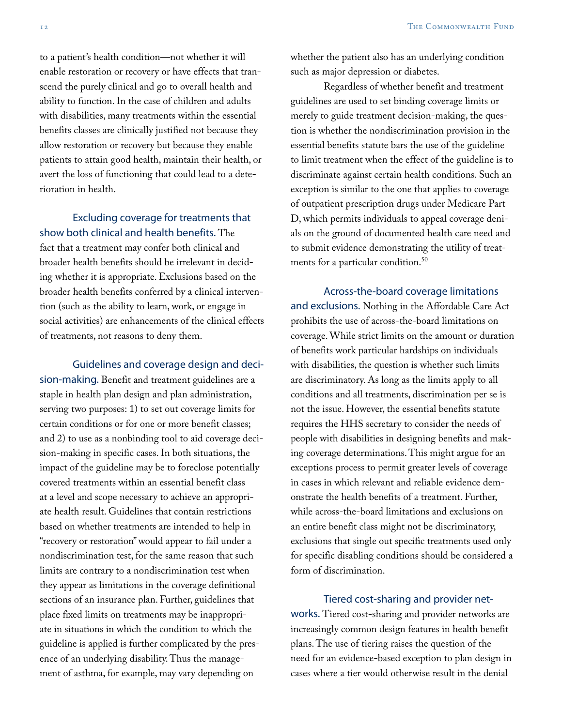to a patient's health condition—not whether it will enable restoration or recovery or have effects that transcend the purely clinical and go to overall health and ability to function. In the case of children and adults with disabilities, many treatments within the essential benefits classes are clinically justified not because they allow restoration or recovery but because they enable patients to attain good health, maintain their health, or avert the loss of functioning that could lead to a deterioration in health.

## Excluding coverage for treatments that show both clinical and health benefits. The

fact that a treatment may confer both clinical and broader health benefits should be irrelevant in deciding whether it is appropriate. Exclusions based on the broader health benefits conferred by a clinical intervention (such as the ability to learn, work, or engage in social activities) are enhancements of the clinical effects of treatments, not reasons to deny them.

Guidelines and coverage design and decision-making. Benefit and treatment guidelines are a staple in health plan design and plan administration, serving two purposes: 1) to set out coverage limits for certain conditions or for one or more benefit classes; and 2) to use as a nonbinding tool to aid coverage decision-making in specific cases. In both situations, the impact of the guideline may be to foreclose potentially covered treatments within an essential benefit class at a level and scope necessary to achieve an appropriate health result. Guidelines that contain restrictions based on whether treatments are intended to help in "recovery or restoration" would appear to fail under a nondiscrimination test, for the same reason that such limits are contrary to a nondiscrimination test when they appear as limitations in the coverage definitional sections of an insurance plan. Further, guidelines that place fixed limits on treatments may be inappropriate in situations in which the condition to which the guideline is applied is further complicated by the presence of an underlying disability. Thus the management of asthma, for example, may vary depending on

whether the patient also has an underlying condition such as major depression or diabetes.

Regardless of whether benefit and treatment guidelines are used to set binding coverage limits or merely to guide treatment decision-making, the question is whether the nondiscrimination provision in the essential benefits statute bars the use of the guideline to limit treatment when the effect of the guideline is to discriminate against certain health conditions. Such an exception is similar to the one that applies to coverage of outpatient prescription drugs under Medicare Part D, which permits individuals to appeal coverage denials on the ground of documented health care need and to submit evidence demonstrating the utility of treatments for a particular condition.<sup>50</sup>

Across-the-board coverage limitations and exclusions. Nothing in the Affordable Care Act prohibits the use of across-the-board limitations on coverage. While strict limits on the amount or duration of benefits work particular hardships on individuals with disabilities, the question is whether such limits are discriminatory. As long as the limits apply to all conditions and all treatments, discrimination per se is not the issue. However, the essential benefits statute requires the HHS secretary to consider the needs of people with disabilities in designing benefits and making coverage determinations. This might argue for an exceptions process to permit greater levels of coverage in cases in which relevant and reliable evidence demonstrate the health benefits of a treatment. Further, while across-the-board limitations and exclusions on an entire benefit class might not be discriminatory, exclusions that single out specific treatments used only for specific disabling conditions should be considered a form of discrimination.

Tiered cost-sharing and provider networks. Tiered cost-sharing and provider networks are increasingly common design features in health benefit plans. The use of tiering raises the question of the need for an evidence-based exception to plan design in cases where a tier would otherwise result in the denial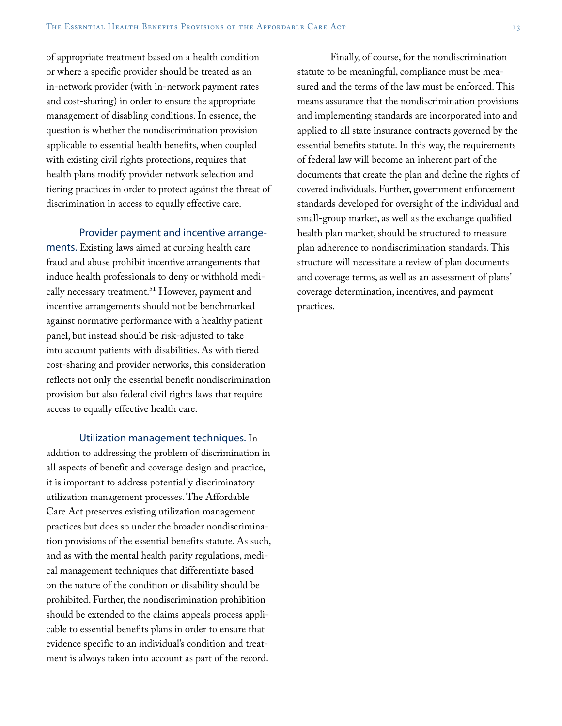of appropriate treatment based on a health condition or where a specific provider should be treated as an in-network provider (with in-network payment rates and cost-sharing) in order to ensure the appropriate management of disabling conditions. In essence, the question is whether the nondiscrimination provision applicable to essential health benefits, when coupled with existing civil rights protections, requires that health plans modify provider network selection and tiering practices in order to protect against the threat of discrimination in access to equally effective care.

#### Provider payment and incentive arrange-

ments. Existing laws aimed at curbing health care fraud and abuse prohibit incentive arrangements that induce health professionals to deny or withhold medically necessary treatment.<sup>51</sup> However, payment and incentive arrangements should not be benchmarked against normative performance with a healthy patient panel, but instead should be risk-adjusted to take into account patients with disabilities. As with tiered cost-sharing and provider networks, this consideration reflects not only the essential benefit nondiscrimination provision but also federal civil rights laws that require access to equally effective health care.

Utilization management techniques. In

addition to addressing the problem of discrimination in all aspects of benefit and coverage design and practice, it is important to address potentially discriminatory utilization management processes. The Affordable Care Act preserves existing utilization management practices but does so under the broader nondiscrimination provisions of the essential benefits statute. As such, and as with the mental health parity regulations, medical management techniques that differentiate based on the nature of the condition or disability should be prohibited. Further, the nondiscrimination prohibition should be extended to the claims appeals process applicable to essential benefits plans in order to ensure that evidence specific to an individual's condition and treatment is always taken into account as part of the record.

Finally, of course, for the nondiscrimination statute to be meaningful, compliance must be measured and the terms of the law must be enforced. This means assurance that the nondiscrimination provisions and implementing standards are incorporated into and applied to all state insurance contracts governed by the essential benefits statute. In this way, the requirements of federal law will become an inherent part of the documents that create the plan and define the rights of covered individuals. Further, government enforcement standards developed for oversight of the individual and small-group market, as well as the exchange qualified health plan market, should be structured to measure plan adherence to nondiscrimination standards. This structure will necessitate a review of plan documents and coverage terms, as well as an assessment of plans' coverage determination, incentives, and payment practices.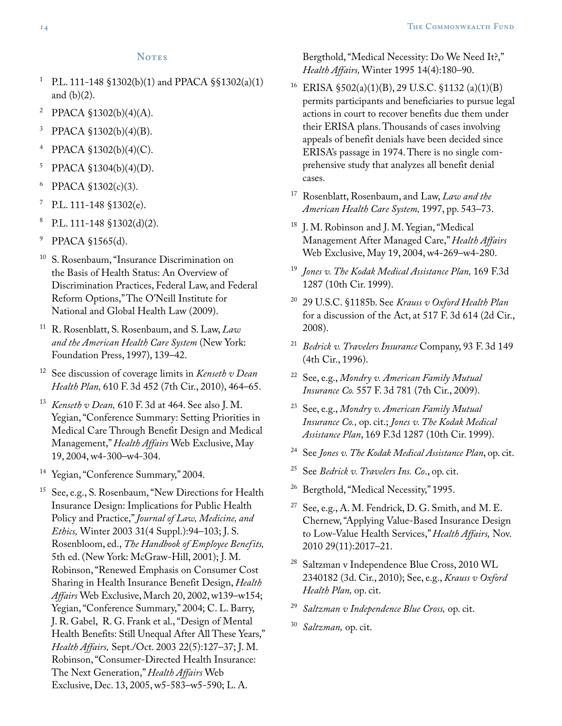- <sup>1</sup> P.L. 111-148 §1302(b)(1) and PPACA §§1302(a)(1) and  $(b)(2)$ .
- <sup>2</sup> PPACA §1302(b)(4)(A).
- <sup>3</sup> PPACA §1302(b)(4)(B).
- <sup>4</sup> PPACA §1302(b)(4)(C).
- <sup>5</sup> PPACA §1304(b)(4)(D).
- <sup>6</sup> PPACA §1302(c)(3).
- $7$  P.L. 111-148 §1302(e).
- <sup>8</sup> P.L. 111-148 §1302(d)(2).
- <sup>9</sup> PPACA §1565(d).
- <sup>10</sup> S. Rosenbaum, "Insurance Discrimination on the Basis of Health Status: An Overview of Discrimination Practices, Federal Law, and Federal Reform Options," The O'Neill Institute for National and Global Health Law (2009).
- <sup>11</sup> R. Rosenblatt, S. Rosenbaum, and S. Law, *Law and the American Health Care System* (New York: Foundation Press, 1997), 139–42.
- <sup>12</sup> See discussion of coverage limits in *Kenseth v Dean Health Plan,* 610 F. 3d 452 (7th Cir., 2010), 464–65.
- <sup>13</sup> *Kenseth v Dean,* 610 F. 3d at 464. See also J. M. Yegian, "Conference Summary: Setting Priorities in Medical Care Through Benefit Design and Medical Management," *Health Affairs* Web Exclusive, May 19, 2004, w4-300–w4-304.
- <sup>14</sup> Yegian, "Conference Summary," 2004.
- <sup>15</sup> See, e.g., S. Rosenbaum, "New Directions for Health Insurance Design: Implications for Public Health Policy and Practice," *Journal of Law, Medicine, and Ethics,* Winter 2003 31(4 Suppl.):94–103; J. S. Rosenbloom, ed., *The Handbook of Employee Benefits,* 5th ed. (New York: McGraw-Hill, 2001); J. M. Robinson, "Renewed Emphasis on Consumer Cost Sharing in Health Insurance Benefit Design, *Health Affairs* Web Exclusive, March 20, 2002, w139–w154; Yegian, "Conference Summary," 2004; C. L. Barry, J. R. Gabel, R. G. Frank et al., "Design of Mental Health Benefits: Still Unequal After All These Years," *Health Affairs,* Sept./Oct. 2003 22(5):127–37; J. M. Robinson, "Consumer-Directed Health Insurance: The Next Generation," *Health Affairs* Web Exclusive, Dec. 13, 2005, w5-583–w5-590; L. A.

Bergthold, "Medical Necessity: Do We Need It?," *Health Affairs,* Winter 1995 14(4):180–90.

- <sup>16</sup> ERISA §502(a)(1)(B), 29 U.S.C. §1132 (a)(1)(B) permits participants and beneficiaries to pursue legal actions in court to recover benefits due them under their ERISA plans. Thousands of cases involving appeals of benefit denials have been decided since ERISA's passage in 1974. There is no single comprehensive study that analyzes all benefit denial cases.
- <sup>17</sup> Rosenblatt, Rosenbaum, and Law, *Law and the American Health Care System,* 1997, pp. 543–73.
- <sup>18</sup> J. M. Robinson and J. M. Yegian, "Medical Management After Managed Care," *Health Affairs* Web Exclusive, May 19, 2004, w4-269–w4-280.
- <sup>19</sup> *Jones v. The Kodak Medical Assistance Plan,* 169 F.3d 1287 (10th Cir. 1999).
- <sup>20</sup> 29 U.S.C. §1185b. See *Krauss v Oxford Health Plan*  for a discussion of the Act, at 517 F. 3d 614 (2d Cir., 2008).
- <sup>21</sup> *Bedrick v. Travelers Insurance* Company, 93 F. 3d 149 (4th Cir., 1996).
- <sup>22</sup> See, e.g., *Mondry v. American Family Mutual Insurance Co.* 557 F. 3d 781 (7th Cir., 2009).
- <sup>23</sup> See, e.g., *Mondry v. American Family Mutual Insurance Co.,* op. cit.; *Jones v. The Kodak Medical Assistance Plan*, 169 F.3d 1287 (10th Cir. 1999).
- See *Jones v. The Kodak Medical Assistance Plan*, op. cit.
- See *Bedrick v. Travelers Ins. Co.*, op. cit.
- <sup>26</sup> Bergthold, "Medical Necessity," 1995.
- $27$  See, e.g., A. M. Fendrick, D. G. Smith, and M. E. Chernew, "Applying Value-Based Insurance Design to Low-Value Health Services," *Health Affairs,* Nov. 2010 29(11):2017–21.
- <sup>28</sup> Saltzman v Independence Blue Cross, 2010 WL 2340182 (3d. Cir., 2010); See, e.g., *Krauss v Oxford Health Plan,* op. cit.
- <sup>29</sup> *Saltzman v Independence Blue Cross,* op. cit.
- <sup>30</sup> *Saltzman,* op. cit.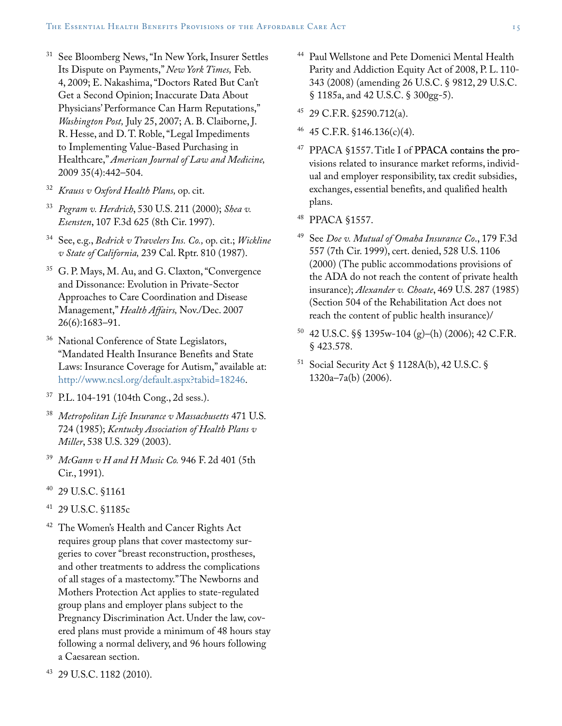- See Bloomberg News, "In New York, Insurer Settles Its Dispute on Payments," *New York Times,* Feb. 4, 2009; E. Nakashima, "Doctors Rated But Can't Get a Second Opinion; Inaccurate Data About Physicians' Performance Can Harm Reputations," *Washington Post,* July 25, 2007; A. B. Claiborne, J. R. Hesse, and D. T. Roble, "Legal Impediments to Implementing Value-Based Purchasing in Healthcare," *American Journal of Law and Medicine,* 2009 35(4):442–504.
- <sup>32</sup> *Krauss v Oxford Health Plans,* op. cit.
- <sup>33</sup> *Pegram v. Herdrich*, 530 U.S. 211 (2000); *Shea v. Esensten*, 107 F.3d 625 (8th Cir. 1997).
- <sup>34</sup> See, e.g., *Bedrick v Travelers Ins. Co.,* op. cit.; *Wickline v State of California,* 239 Cal. Rptr. 810 (1987).
- <sup>35</sup> G. P. Mays, M. Au, and G. Claxton, "Convergence and Dissonance: Evolution in Private-Sector Approaches to Care Coordination and Disease Management," *Health Affairs,* Nov./Dec. 2007 26(6):1683–91.
- <sup>36</sup> National Conference of State Legislators, "Mandated Health Insurance Benefits and State Laws: Insurance Coverage for Autism," available at: <http://www.ncsl.org/default.aspx?tabid=18246>.
- <sup>37</sup> P.L. 104-191 (104th Cong., 2d sess.).
- <sup>38</sup> *Metropolitan Life Insurance v Massachusetts* 471 U.S. 724 (1985); *Kentucky Association of Health Plans v Miller*, 538 U.S. 329 (2003).
- <sup>39</sup> *McGann v H and H Music Co.* 946 F. 2d 401 (5th Cir., 1991).
- <sup>40</sup> 29 U.S.C. §1161
- <sup>41</sup> 29 U.S.C. §1185c
- <sup>42</sup> The Women's Health and Cancer Rights Act requires group plans that cover mastectomy surgeries to cover "breast reconstruction, prostheses, and other treatments to address the complications of all stages of a mastectomy." The Newborns and Mothers Protection Act applies to state-regulated group plans and employer plans subject to the Pregnancy Discrimination Act. Under the law, covered plans must provide a minimum of 48 hours stay following a normal delivery, and 96 hours following a Caesarean section.
- <sup>43</sup> 29 U.S.C. 1182 (2010).
- <sup>44</sup> Paul Wellstone and Pete Domenici Mental Health Parity and Addiction Equity Act of 2008, P. L. 110- 343 (2008) (amending 26 U.S.C. § 9812, 29 U.S.C. § 1185a, and 42 U.S.C. § 300gg-5).
- <sup>45</sup> 29 C.F.R. §2590.712(a).
- <sup>46</sup> 45 C.F.R. §146.136(c)(4).
- <sup>47</sup> PPACA §1557. Title I of PPACA contains the provisions related to insurance market reforms, individual and employer responsibility, tax credit subsidies, exchanges, essential benefits, and qualified health plans.
- <sup>48</sup> PPACA §1557.
- See *Doe v. Mutual of Omaha Insurance Co.*, 179 F.3d 557 (7th Cir. 1999), cert. denied, 528 U.S. 1106 (2000) (The public accommodations provisions of the ADA do not reach the content of private health insurance); *Alexander v. Choate*, 469 U.S. 287 (1985) (Section 504 of the Rehabilitation Act does not reach the content of public health insurance)/
- <sup>50</sup> 42 U.S.C. §§ 1395w-104 (g)–(h) (2006); 42 C.F.R. § 423.578.
- <sup>51</sup> Social Security Act § 1128A(b), 42 U.S.C. § 1320a–7a(b) (2006).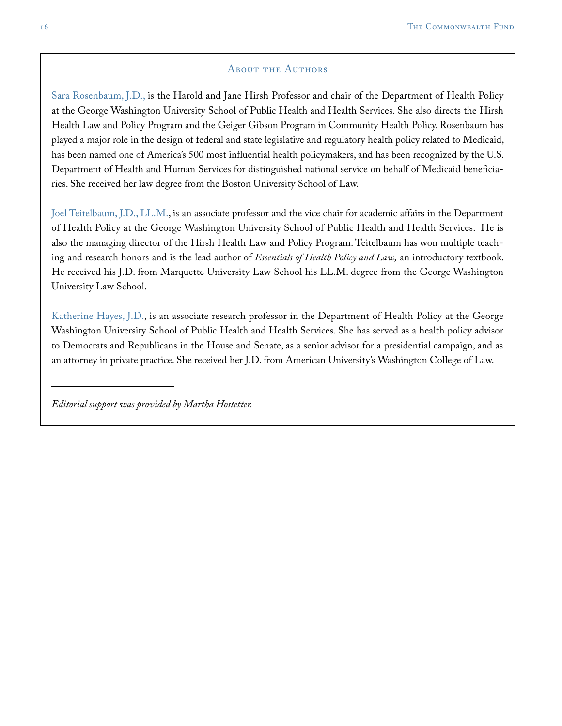#### About the Authors

Sara Rosenbaum, J.D., is the Harold and Jane Hirsh Professor and chair of the Department of Health Policy at the George Washington University School of Public Health and Health Services. She also directs the Hirsh Health Law and Policy Program and the Geiger Gibson Program in Community Health Policy. Rosenbaum has played a major role in the design of federal and state legislative and regulatory health policy related to Medicaid, has been named one of America's 500 most influential health policymakers, and has been recognized by the U.S. Department of Health and Human Services for distinguished national service on behalf of Medicaid beneficiaries. She received her law degree from the Boston University School of Law.

Joel Teitelbaum, J.D., LL.M., is an associate professor and the vice chair for academic affairs in the Department of Health Policy at the George Washington University School of Public Health and Health Services. He is also the managing director of the Hirsh Health Law and Policy Program. Teitelbaum has won multiple teaching and research honors and is the lead author of *Essentials of Health Policy and Law,* an introductory textbook. He received his J.D. from Marquette University Law School his LL.M. degree from the George Washington University Law School.

Katherine Hayes, J.D., is an associate research professor in the Department of Health Policy at the George Washington University School of Public Health and Health Services. She has served as a health policy advisor to Democrats and Republicans in the House and Senate, as a senior advisor for a presidential campaign, and as an attorney in private practice. She received her J.D. from American University's Washington College of Law.

*Editorial support was provided by Martha Hostetter.*